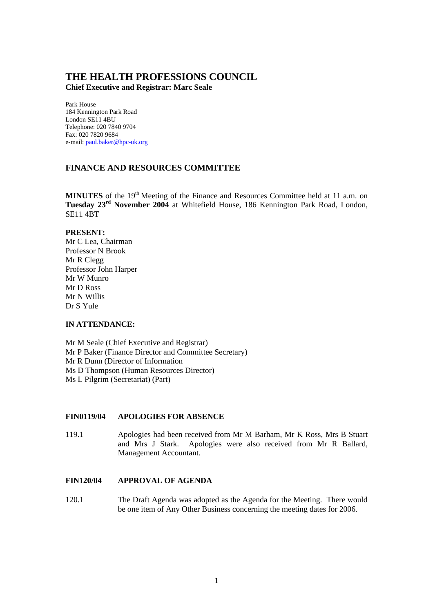# **THE HEALTH PROFESSIONS COUNCIL**

**Chief Executive and Registrar: Marc Seale**

Park House 184 Kennington Park Road London SE11 4BU Telephone: 020 7840 9704 Fax: 020 7820 9684 e-mail: paul.baker@hpc-uk.org

# **FINANCE AND RESOURCES COMMITTEE**

**MINUTES** of the 19<sup>th</sup> Meeting of the Finance and Resources Committee held at 11 a.m. on **Tuesday 23rd November 2004** at Whitefield House, 186 Kennington Park Road, London, SE11 4BT

#### **PRESENT:**

Mr C Lea, Chairman Professor N Brook Mr R Clegg Professor John Harper Mr W Munro Mr D Ross Mr N Willis Dr S Yule

## **IN ATTENDANCE:**

Mr M Seale (Chief Executive and Registrar) Mr P Baker (Finance Director and Committee Secretary) Mr R Dunn (Director of Information Ms D Thompson (Human Resources Director) Ms L Pilgrim (Secretariat) (Part)

## **FIN0119/04 APOLOGIES FOR ABSENCE**

119.1 Apologies had been received from Mr M Barham, Mr K Ross, Mrs B Stuart and Mrs J Stark. Apologies were also received from Mr R Ballard, Management Accountant.

## **FIN120/04 APPROVAL OF AGENDA**

120.1 The Draft Agenda was adopted as the Agenda for the Meeting. There would be one item of Any Other Business concerning the meeting dates for 2006.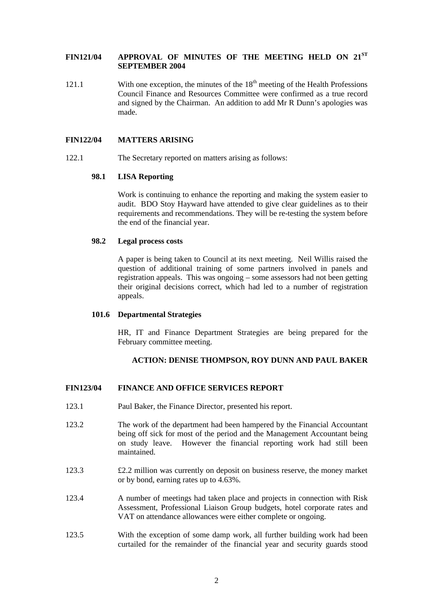# **FIN121/04 APPROVAL OF MINUTES OF THE MEETING HELD ON 21ST SEPTEMBER 2004**

121.1 With one exception, the minutes of the  $18<sup>th</sup>$  meeting of the Health Professions Council Finance and Resources Committee were confirmed as a true record and signed by the Chairman. An addition to add Mr R Dunn's apologies was made.

# **FIN122/04 MATTERS ARISING**

122.1 The Secretary reported on matters arising as follows:

## **98.1 LISA Reporting**

Work is continuing to enhance the reporting and making the system easier to audit. BDO Stoy Hayward have attended to give clear guidelines as to their requirements and recommendations. They will be re-testing the system before the end of the financial year.

#### **98.2 Legal process costs**

A paper is being taken to Council at its next meeting. Neil Willis raised the question of additional training of some partners involved in panels and registration appeals. This was ongoing – some assessors had not been getting their original decisions correct, which had led to a number of registration appeals.

#### **101.6 Departmental Strategies**

HR, IT and Finance Department Strategies are being prepared for the February committee meeting.

## **ACTION: DENISE THOMPSON, ROY DUNN AND PAUL BAKER**

## **FIN123/04 FINANCE AND OFFICE SERVICES REPORT**

- 123.1 Paul Baker, the Finance Director, presented his report.
- 123.2 The work of the department had been hampered by the Financial Accountant being off sick for most of the period and the Management Accountant being on study leave. However the financial reporting work had still been maintained.
- 123.3 £2.2 million was currently on deposit on business reserve, the money market or by bond, earning rates up to 4.63%.
- 123.4 A number of meetings had taken place and projects in connection with Risk Assessment, Professional Liaison Group budgets, hotel corporate rates and VAT on attendance allowances were either complete or ongoing.
- 123.5 With the exception of some damp work, all further building work had been curtailed for the remainder of the financial year and security guards stood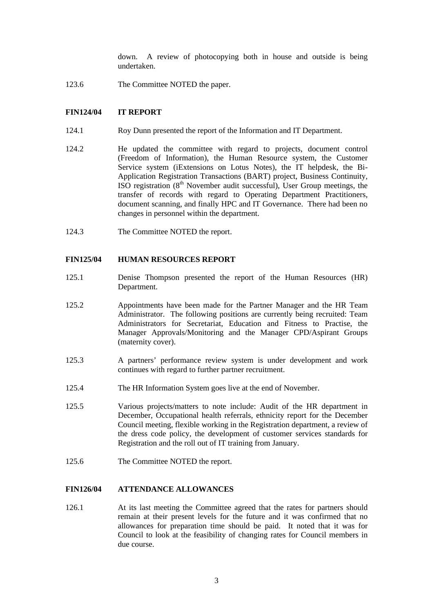down. A review of photocopying both in house and outside is being undertaken.

123.6 The Committee NOTED the paper.

# **FIN124/04 IT REPORT**

- 124.1 Roy Dunn presented the report of the Information and IT Department.
- 124.2 He updated the committee with regard to projects, document control (Freedom of Information), the Human Resource system, the Customer Service system (iExtensions on Lotus Notes), the IT helpdesk, the Bi-Application Registration Transactions (BART) project, Business Continuity, ISO registration  $(8<sup>th</sup>$  November audit successful), User Group meetings, the transfer of records with regard to Operating Department Practitioners, document scanning, and finally HPC and IT Governance. There had been no changes in personnel within the department.
- 124.3 The Committee NOTED the report.

#### **FIN125/04 HUMAN RESOURCES REPORT**

- 125.1 Denise Thompson presented the report of the Human Resources (HR) Department.
- 125.2 Appointments have been made for the Partner Manager and the HR Team Administrator. The following positions are currently being recruited: Team Administrators for Secretariat, Education and Fitness to Practise, the Manager Approvals/Monitoring and the Manager CPD/Aspirant Groups (maternity cover).
- 125.3 A partners' performance review system is under development and work continues with regard to further partner recruitment.
- 125.4 The HR Information System goes live at the end of November.
- 125.5 Various projects/matters to note include: Audit of the HR department in December, Occupational health referrals, ethnicity report for the December Council meeting, flexible working in the Registration department, a review of the dress code policy, the development of customer services standards for Registration and the roll out of IT training from January.
- 125.6 The Committee NOTED the report.

# **FIN126/04 ATTENDANCE ALLOWANCES**

126.1 At its last meeting the Committee agreed that the rates for partners should remain at their present levels for the future and it was confirmed that no allowances for preparation time should be paid. It noted that it was for Council to look at the feasibility of changing rates for Council members in due course.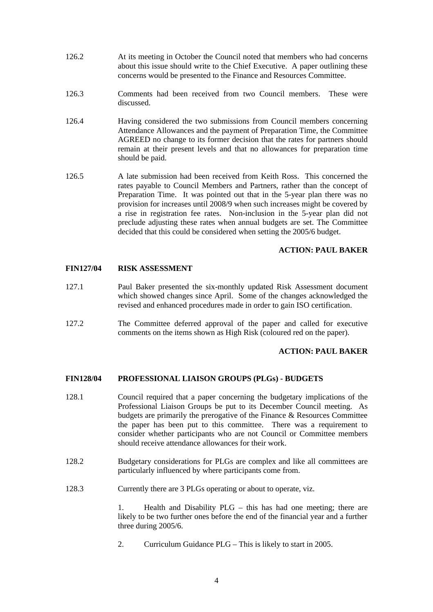- 126.2 At its meeting in October the Council noted that members who had concerns about this issue should write to the Chief Executive. A paper outlining these concerns would be presented to the Finance and Resources Committee.
- 126.3 Comments had been received from two Council members. These were discussed.
- 126.4 Having considered the two submissions from Council members concerning Attendance Allowances and the payment of Preparation Time, the Committee AGREED no change to its former decision that the rates for partners should remain at their present levels and that no allowances for preparation time should be paid.
- 126.5 A late submission had been received from Keith Ross. This concerned the rates payable to Council Members and Partners, rather than the concept of Preparation Time. It was pointed out that in the 5-year plan there was no provision for increases until 2008/9 when such increases might be covered by a rise in registration fee rates. Non-inclusion in the 5-year plan did not preclude adjusting these rates when annual budgets are set. The Committee decided that this could be considered when setting the 2005/6 budget.

## **ACTION: PAUL BAKER**

## **FIN127/04 RISK ASSESSMENT**

- 127.1 Paul Baker presented the six-monthly updated Risk Assessment document which showed changes since April. Some of the changes acknowledged the revised and enhanced procedures made in order to gain ISO certification.
- 127.2 The Committee deferred approval of the paper and called for executive comments on the items shown as High Risk (coloured red on the paper).

## **ACTION: PAUL BAKER**

## **FIN128/04 PROFESSIONAL LIAISON GROUPS (PLGs) - BUDGETS**

- 128.1 Council required that a paper concerning the budgetary implications of the Professional Liaison Groups be put to its December Council meeting. As budgets are primarily the prerogative of the Finance & Resources Committee the paper has been put to this committee. There was a requirement to consider whether participants who are not Council or Committee members should receive attendance allowances for their work.
- 128.2 Budgetary considerations for PLGs are complex and like all committees are particularly influenced by where participants come from.
- 128.3 Currently there are 3 PLGs operating or about to operate, viz.

1. Health and Disability PLG – this has had one meeting; there are likely to be two further ones before the end of the financial year and a further three during 2005/6.

2. Curriculum Guidance PLG – This is likely to start in 2005.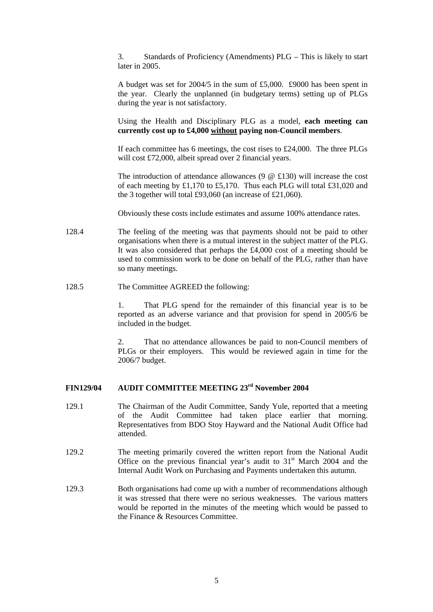3. Standards of Proficiency (Amendments) PLG – This is likely to start later in 2005.

A budget was set for 2004/5 in the sum of £5,000. £9000 has been spent in the year. Clearly the unplanned (in budgetary terms) setting up of PLGs during the year is not satisfactory.

Using the Health and Disciplinary PLG as a model, **each meeting can currently cost up to £4,000 without paying non-Council members**.

If each committee has 6 meetings, the cost rises to £24,000. The three PLGs will cost £72,000, albeit spread over 2 financial years.

The introduction of attendance allowances (9 @ £130) will increase the cost of each meeting by £1,170 to £5,170. Thus each PLG will total £31,020 and the 3 together will total £93,060 (an increase of £21,060).

Obviously these costs include estimates and assume 100% attendance rates.

- 128.4 The feeling of the meeting was that payments should not be paid to other organisations when there is a mutual interest in the subject matter of the PLG. It was also considered that perhaps the £4,000 cost of a meeting should be used to commission work to be done on behalf of the PLG, rather than have so many meetings.
- 128.5 The Committee AGREED the following:

1. That PLG spend for the remainder of this financial year is to be reported as an adverse variance and that provision for spend in 2005/6 be included in the budget.

2. That no attendance allowances be paid to non-Council members of PLGs or their employers. This would be reviewed again in time for the 2006/7 budget.

# **FIN129/04 AUDIT COMMITTEE MEETING 23rd November 2004**

- 129.1 The Chairman of the Audit Committee, Sandy Yule, reported that a meeting of the Audit Committee had taken place earlier that morning. Representatives from BDO Stoy Hayward and the National Audit Office had attended.
- 129.2 The meeting primarily covered the written report from the National Audit Office on the previous financial year's audit to  $31<sup>st</sup>$  March 2004 and the Internal Audit Work on Purchasing and Payments undertaken this autumn.
- 129.3 Both organisations had come up with a number of recommendations although it was stressed that there were no serious weaknesses. The various matters would be reported in the minutes of the meeting which would be passed to the Finance & Resources Committee.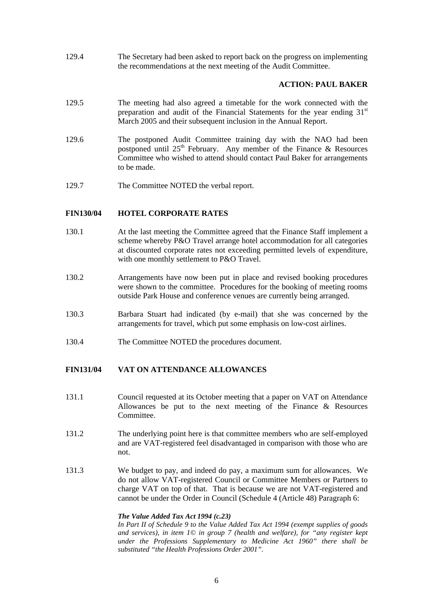129.4 The Secretary had been asked to report back on the progress on implementing the recommendations at the next meeting of the Audit Committee.

## **ACTION: PAUL BAKER**

- 129.5 The meeting had also agreed a timetable for the work connected with the preparation and audit of the Financial Statements for the year ending  $31<sup>st</sup>$ March 2005 and their subsequent inclusion in the Annual Report.
- 129.6 The postponed Audit Committee training day with the NAO had been postponed until  $25<sup>th</sup>$  February. Any member of the Finance & Resources Committee who wished to attend should contact Paul Baker for arrangements to be made.
- 129.7 The Committee NOTED the verbal report.

## **FIN130/04 HOTEL CORPORATE RATES**

- 130.1 At the last meeting the Committee agreed that the Finance Staff implement a scheme whereby P&O Travel arrange hotel accommodation for all categories at discounted corporate rates not exceeding permitted levels of expenditure, with one monthly settlement to P&O Travel.
- 130.2 Arrangements have now been put in place and revised booking procedures were shown to the committee. Procedures for the booking of meeting rooms outside Park House and conference venues are currently being arranged.
- 130.3 Barbara Stuart had indicated (by e-mail) that she was concerned by the arrangements for travel, which put some emphasis on low-cost airlines.
- 130.4 The Committee NOTED the procedures document.

# **FIN131/04 VAT ON ATTENDANCE ALLOWANCES**

- 131.1 Council requested at its October meeting that a paper on VAT on Attendance Allowances be put to the next meeting of the Finance & Resources Committee.
- 131.2 The underlying point here is that committee members who are self-employed and are VAT-registered feel disadvantaged in comparison with those who are not.
- 131.3 We budget to pay, and indeed do pay, a maximum sum for allowances. We do not allow VAT-registered Council or Committee Members or Partners to charge VAT on top of that. That is because we are not VAT-registered and cannot be under the Order in Council (Schedule 4 (Article 48) Paragraph 6:

#### *The Value Added Tax Act 1994 (c.23)*

*In Part II of Schedule 9 to the Value Added Tax Act 1994 (exempt supplies of goods and services), in item 1© in group 7 (health and welfare), for "any register kept under the Professions Supplementary to Medicine Act 1960" there shall be substituted "the Health Professions Order 2001".*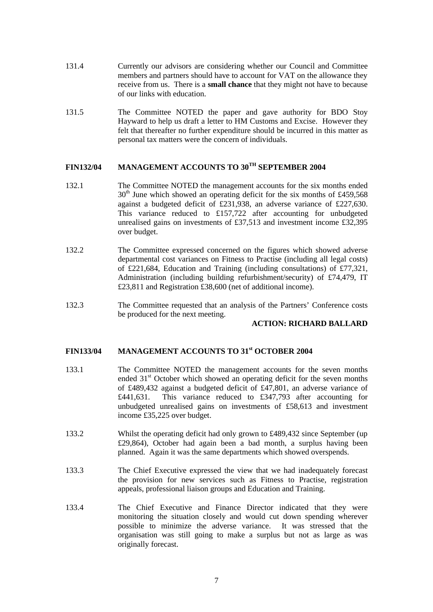- 131.4 Currently our advisors are considering whether our Council and Committee members and partners should have to account for VAT on the allowance they receive from us. There is a **small chance** that they might not have to because of our links with education.
- 131.5 The Committee NOTED the paper and gave authority for BDO Stoy Hayward to help us draft a letter to HM Customs and Excise. However they felt that thereafter no further expenditure should be incurred in this matter as personal tax matters were the concern of individuals.

# **FIN132/04 MANAGEMENT ACCOUNTS TO 30TH SEPTEMBER 2004**

- 132.1 The Committee NOTED the management accounts for the six months ended  $30<sup>th</sup>$  June which showed an operating deficit for the six months of £459,568 against a budgeted deficit of £231,938, an adverse variance of £227,630. This variance reduced to £157,722 after accounting for unbudgeted unrealised gains on investments of £37,513 and investment income £32,395 over budget.
- 132.2 The Committee expressed concerned on the figures which showed adverse departmental cost variances on Fitness to Practise (including all legal costs) of £221,684, Education and Training (including consultations) of £77,321, Administration (including building refurbishment/security) of £74,479, IT £23,811 and Registration £38,600 (net of additional income).
- 132.3 The Committee requested that an analysis of the Partners' Conference costs be produced for the next meeting.

#### **ACTION: RICHARD BALLARD**

#### **FIN133/04 MANAGEMENT ACCOUNTS TO 31st OCTOBER 2004**

- 133.1 The Committee NOTED the management accounts for the seven months ended 31<sup>st</sup> October which showed an operating deficit for the seven months of £489,432 against a budgeted deficit of £47,801, an adverse variance of £441,631. This variance reduced to £347,793 after accounting for unbudgeted unrealised gains on investments of £58,613 and investment income £35,225 over budget.
- 133.2 Whilst the operating deficit had only grown to £489,432 since September (up £29,864), October had again been a bad month, a surplus having been planned. Again it was the same departments which showed overspends.
- 133.3 The Chief Executive expressed the view that we had inadequately forecast the provision for new services such as Fitness to Practise, registration appeals, professional liaison groups and Education and Training.
- 133.4 The Chief Executive and Finance Director indicated that they were monitoring the situation closely and would cut down spending wherever possible to minimize the adverse variance. It was stressed that the organisation was still going to make a surplus but not as large as was originally forecast.